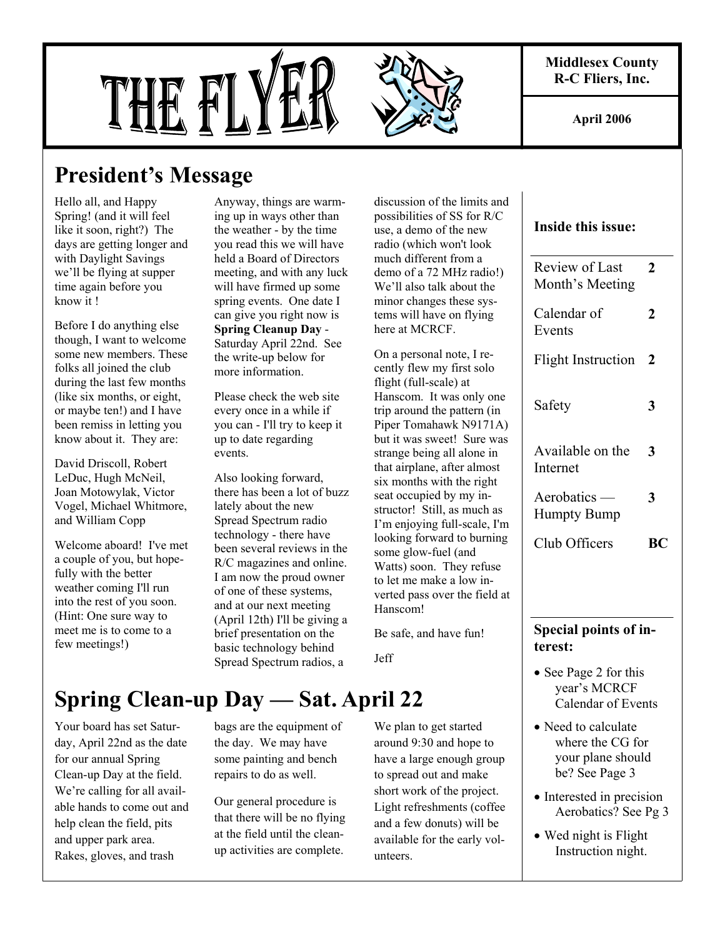**Middlesex County R-C Fliers, Inc.** 

**April 2006** 

# THE FL

# **President's Message**

Hello all, and Happy Spring! (and it will feel like it soon, right?) The days are getting longer and with Daylight Savings we'll be flying at supper time again before you know it !

Before I do anything else though, I want to welcome some new members. These folks all joined the club during the last few months (like six months, or eight, or maybe ten!) and I have been remiss in letting you know about it. They are:

David Driscoll, Robert LeDuc, Hugh McNeil, Joan Motowylak, Victor Vogel, Michael Whitmore, and William Copp

Welcome aboard! I've met a couple of you, but hopefully with the better weather coming I'll run into the rest of you soon. (Hint: One sure way to meet me is to come to a few meetings!)

Anyway, things are warming up in ways other than the weather - by the time you read this we will have held a Board of Directors meeting, and with any luck will have firmed up some spring events. One date I can give you right now is **Spring Cleanup Day** - Saturday April 22nd. See the write-up below for more information.

Please check the web site every once in a while if you can - I'll try to keep it up to date regarding events.

Also looking forward, there has been a lot of buzz lately about the new Spread Spectrum radio technology - there have been several reviews in the R/C magazines and online. I am now the proud owner of one of these systems, and at our next meeting (April 12th) I'll be giving a brief presentation on the basic technology behind Spread Spectrum radios, a

discussion of the limits and possibilities of SS for R/C use, a demo of the new radio (which won't look much different from a demo of a 72 MHz radio!) We'll also talk about the minor changes these systems will have on flying here at MCRCF.

On a personal note, I recently flew my first solo flight (full-scale) at Hanscom. It was only one trip around the pattern (in Piper Tomahawk N9171A) but it was sweet! Sure was strange being all alone in that airplane, after almost six months with the right seat occupied by my instructor! Still, as much as I'm enjoying full-scale, I'm looking forward to burning some glow-fuel (and Watts) soon. They refuse to let me make a low inverted pass over the field at Hanscom!

Be safe, and have fun!

Jeff

# **Spring Clean-up Day — Sat. April 22**

Your board has set Saturday, April 22nd as the date for our annual Spring Clean-up Day at the field. We're calling for all available hands to come out and help clean the field, pits and upper park area. Rakes, gloves, and trash

bags are the equipment of the day. We may have some painting and bench repairs to do as well.

Our general procedure is that there will be no flying at the field until the cleanup activities are complete.

We plan to get started around 9:30 and hope to have a large enough group to spread out and make short work of the project. Light refreshments (coffee and a few donuts) will be available for the early volunteers.

#### **Inside this issue:**

| <b>Special points of in-</b><br>terest: |    |
|-----------------------------------------|----|
| Club Officers                           | RС |
| $A$ erobatics —<br><b>Humpty Bump</b>   | 3  |
| Available on the<br>Internet            | 3  |
| Safety                                  | 3  |
| <b>Flight Instruction</b>               | 2  |
| Calendar of<br>Events                   | 2  |
| Review of Last<br>Month's Meeting       | 2  |

- See Page 2 for this year's MCRCF Calendar of Events
- Need to calculate where the CG for your plane should be? See Page 3
- Interested in precision Aerobatics? See Pg 3
- Wed night is Flight Instruction night.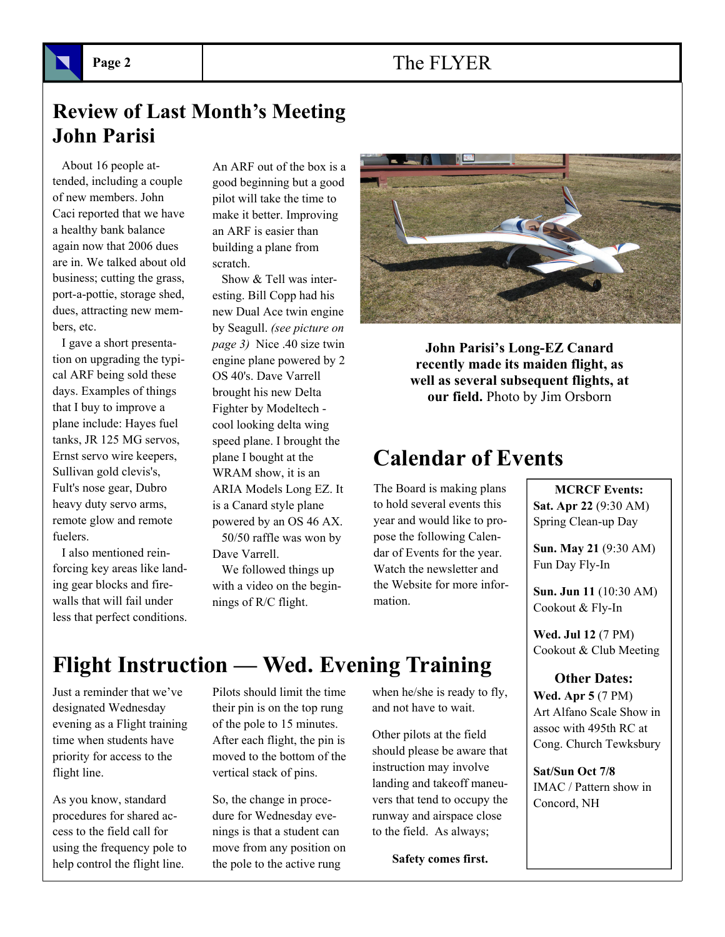### Page 2 **The FLYER**

# **Review of Last Month's Meeting John Parisi**

 About 16 people attended, including a couple of new members. John Caci reported that we have a healthy bank balance again now that 2006 dues are in. We talked about old business; cutting the grass, port-a-pottie, storage shed, dues, attracting new members, etc.

 I gave a short presentation on upgrading the typical ARF being sold these days. Examples of things that I buy to improve a plane include: Hayes fuel tanks, JR 125 MG servos, Ernst servo wire keepers, Sullivan gold clevis's, Fult's nose gear, Dubro heavy duty servo arms, remote glow and remote fuelers.

 I also mentioned reinforcing key areas like landing gear blocks and firewalls that will fail under less that perfect conditions.

An ARF out of the box is a good beginning but a good pilot will take the time to make it better. Improving an ARF is easier than building a plane from scratch.

 Show & Tell was interesting. Bill Copp had his new Dual Ace twin engine by Seagull. *(see picture on page 3)* Nice .40 size twin engine plane powered by 2 OS 40's. Dave Varrell brought his new Delta Fighter by Modeltech cool looking delta wing speed plane. I brought the plane I bought at the WRAM show, it is an ARIA Models Long EZ. It is a Canard style plane powered by an OS 46 AX. 50/50 raffle was won by

Dave Varrell.

 We followed things up with a video on the beginnings of R/C flight.



**John Parisi's Long-EZ Canard recently made its maiden flight, as well as several subsequent flights, at our field.** Photo by Jim Orsborn

# **Calendar of Events**

The Board is making plans to hold several events this year and would like to propose the following Calendar of Events for the year. Watch the newsletter and the Website for more information.

 **MCRCF Events: Sat. Apr 22** (9:30 AM) Spring Clean-up Day

**Sun. May 21** (9:30 AM) Fun Day Fly-In

**Sun. Jun 11** (10:30 AM) Cookout & Fly-In

**Wed. Jul 12** (7 PM) Cookout & Club Meeting

 **Other Dates: Wed. Apr 5** (7 PM) Art Alfano Scale Show in assoc with 495th RC at Cong. Church Tewksbury

**Sat/Sun Oct 7/8** IMAC / Pattern show in Concord, NH

# **Flight Instruction — Wed. Evening Training**

Just a reminder that we've designated Wednesday evening as a Flight training time when students have priority for access to the flight line.

As you know, standard procedures for shared access to the field call for using the frequency pole to help control the flight line.

Pilots should limit the time their pin is on the top rung of the pole to 15 minutes. After each flight, the pin is moved to the bottom of the vertical stack of pins.

So, the change in procedure for Wednesday evenings is that a student can move from any position on the pole to the active rung

when he/she is ready to fly, and not have to wait.

Other pilots at the field should please be aware that instruction may involve landing and takeoff maneuvers that tend to occupy the runway and airspace close to the field. As always;

**Safety comes first.**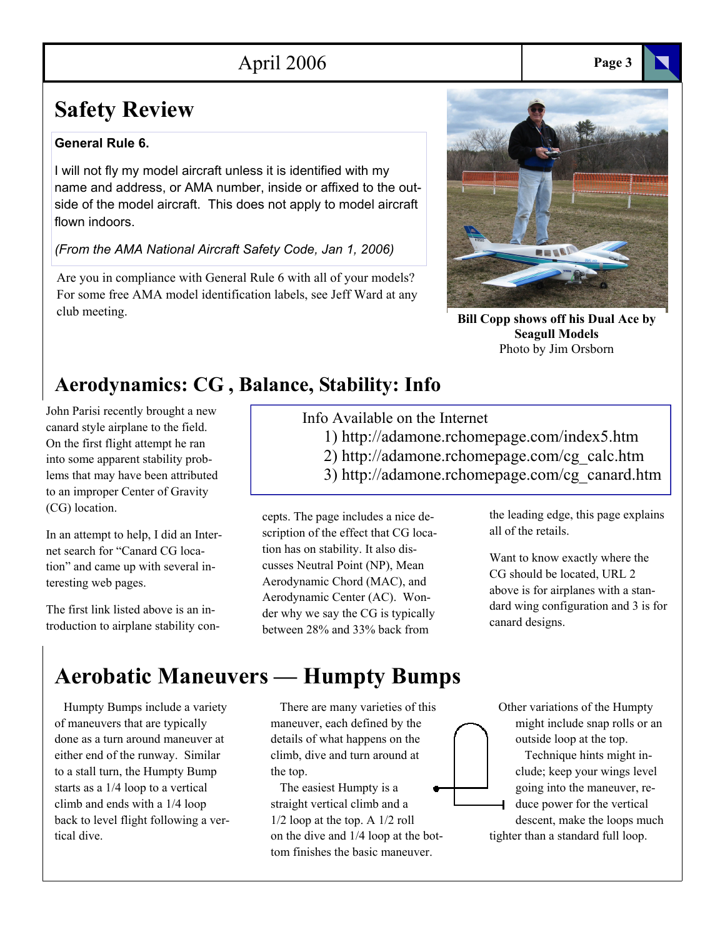# April 2006 **Page 3**

# **Safety Review**

#### **General Rule 6.**

I will not fly my model aircraft unless it is identified with my name and address, or AMA number, inside or affixed to the outside of the model aircraft. This does not apply to model aircraft flown indoors.

*(From the AMA National Aircraft Safety Code, Jan 1, 2006)* 

Are you in compliance with General Rule 6 with all of your models? For some free AMA model identification labels, see Jeff Ward at any club meeting.

# **REAR**

**Bill Copp shows off his Dual Ace by Seagull Models**  Photo by Jim Orsborn

# **Aerodynamics: CG , Balance, Stability: Info**

John Parisi recently brought a new canard style airplane to the field. On the first flight attempt he ran into some apparent stability problems that may have been attributed to an improper Center of Gravity (CG) location.

In an attempt to help, I did an Internet search for "Canard CG location" and came up with several interesting web pages.

The first link listed above is an introduction to airplane stability con-

# **Aerobatic Maneuvers — Humpty Bumps**

 Humpty Bumps include a variety of maneuvers that are typically done as a turn around maneuver at either end of the runway. Similar to a stall turn, the Humpty Bump starts as a 1/4 loop to a vertical climb and ends with a 1/4 loop back to level flight following a vertical dive.

Info Available on the Internet

- 1) http://adamone.rchomepage.com/index5.htm
- 2) http://adamone.rchomepage.com/cg\_calc.htm
- 3) http://adamone.rchomepage.com/cg\_canard.htm

cepts. The page includes a nice description of the effect that CG location has on stability. It also discusses Neutral Point (NP), Mean Aerodynamic Chord (MAC), and Aerodynamic Center (AC). Wonder why we say the CG is typically between 28% and 33% back from

the leading edge, this page explains all of the retails.

Want to know exactly where the CG should be located, URL 2 above is for airplanes with a standard wing configuration and 3 is for canard designs.

 There are many varieties of this maneuver, each defined by the details of what happens on the climb, dive and turn around at the top.

 The easiest Humpty is a straight vertical climb and a 1/2 loop at the top. A 1/2 roll on the dive and 1/4 loop at the bottom finishes the basic maneuver.

 Other variations of the Humpty might include snap rolls or an outside loop at the top.

 Technique hints might include; keep your wings level going into the maneuver, reduce power for the vertical descent, make the loops much tighter than a standard full loop.